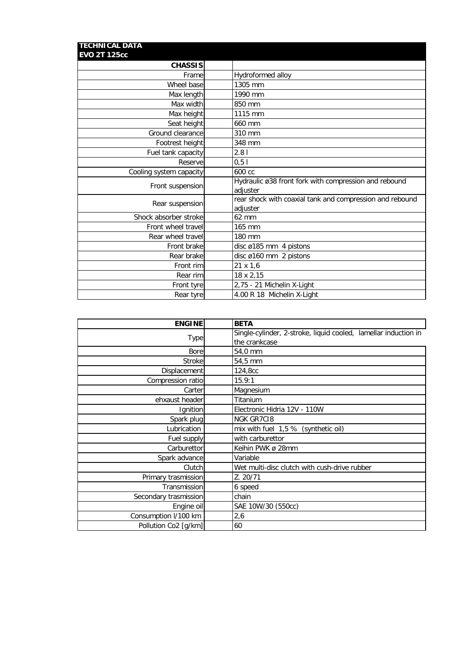| <b>TECHNICAL DATA</b><br><b>EVO 2T 125cc</b> |                                                                      |
|----------------------------------------------|----------------------------------------------------------------------|
| <b>CHASSIS</b>                               |                                                                      |
| Frame                                        | Hydroformed alloy                                                    |
| Wheel base                                   | 1305 mm                                                              |
| Max length                                   | 1990 mm                                                              |
| Max width                                    | 850 mm                                                               |
| Max height                                   | 1115 mm                                                              |
| Seat height                                  | 660 mm                                                               |
| Ground clearance                             | 310 mm                                                               |
| Footrest height                              | 348 mm                                                               |
| Fuel tank capacity                           | 2.81                                                                 |
| Reserve                                      | 0, 51                                                                |
| Cooling system capacity                      | 600 cc                                                               |
| Front suspension                             | Hydraulic ø38 front fork with compression and rebound<br>adjuster    |
| Rear suspension                              | rear shock with coaxial tank and compression and rebound<br>adjuster |
| Shock absorber stroke                        | 62 mm                                                                |
| Front wheel travel                           | 165 mm                                                               |
| Rear wheel travel                            | 180 mm                                                               |
| Front brake                                  | disc ø185 mm 4 pistons                                               |
| Rear brake                                   | disc ø160 mm 2 pistons                                               |
| Front rim                                    | 21 x 1,6                                                             |
| Rear rim                                     | 18 x 2,15                                                            |
| Front tyre                                   | 2,75 - 21 Michelin X-Light                                           |
| Rear tyre                                    | 4.00 R 18 Michelin X-Light                                           |

| <b>ENGINE</b>         | <b>BETA</b>                                                     |  |
|-----------------------|-----------------------------------------------------------------|--|
| <b>Type</b>           | Single-cylinder, 2-stroke, liquid cooled, lamellar induction in |  |
|                       | the crankcase                                                   |  |
| Bore                  | 54,0 mm                                                         |  |
| Stroke                | 54,5 mm                                                         |  |
| Displacement          | 124,8cc                                                         |  |
| Compression ratio     | 15.9:1                                                          |  |
| Carter                | Magnesium                                                       |  |
| ehxaust header        | Titanium                                                        |  |
| Ignition              | Electronic Hidria 12V - 110W                                    |  |
| Spark plug            | <b>NGK GR7C18</b>                                               |  |
| Lubrication           | mix with fuel $1,5%$ (synthetic oil)                            |  |
| Fuel supply           | with carburettor                                                |  |
| Carburettor           | Keihin PWK ø 28mm                                               |  |
| Spark advance         | Variable                                                        |  |
| Clutch                | Wet multi-disc clutch with cush-drive rubber                    |  |
| Primary trasmission   | Z. 20/71                                                        |  |
| Transmission          | 6 speed                                                         |  |
| Secondary trasmission | chain                                                           |  |
| Engine oil            | SAE 10W/30 (550cc)                                              |  |
| Consumption I/100 km  | 2,6                                                             |  |
| Pollution Co2 [g/km]  | 60                                                              |  |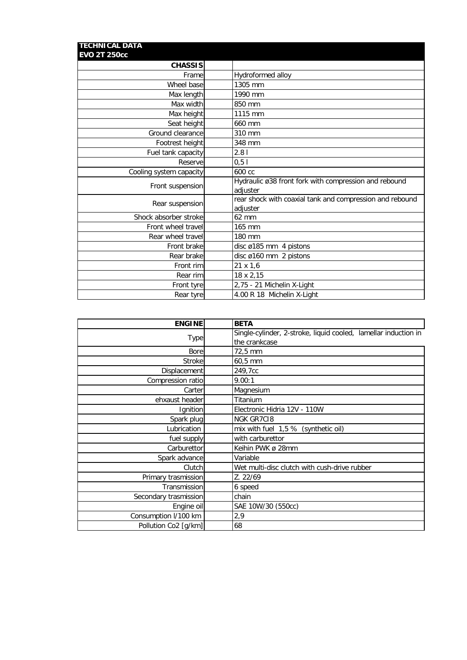| <b>TECHNICAL DATA</b><br><b>EVO 2T 250cc</b> |                                                                      |
|----------------------------------------------|----------------------------------------------------------------------|
| <b>CHASSIS</b>                               |                                                                      |
| Frame                                        | Hydroformed alloy                                                    |
| Wheel base                                   | 1305 mm                                                              |
| Max length                                   | 1990 mm                                                              |
| Max width                                    | 850 mm                                                               |
| Max height                                   | 1115 mm                                                              |
| Seat height                                  | 660 mm                                                               |
| Ground clearance                             | 310 mm                                                               |
| Footrest height                              | 348 mm                                                               |
| Fuel tank capacity                           | 2.81                                                                 |
| Reserve                                      | 0, 51                                                                |
| Cooling system capacity                      | 600 cc                                                               |
| Front suspension                             | Hydraulic ø38 front fork with compression and rebound<br>adjuster    |
| Rear suspension                              | rear shock with coaxial tank and compression and rebound<br>adjuster |
| Shock absorber stroke                        | 62 mm                                                                |
| Front wheel travel                           | 165 mm                                                               |
| Rear wheel travel                            | 180 mm                                                               |
| Front brake                                  | disc ø185 mm 4 pistons                                               |
| Rear brake                                   | disc ø160 mm 2 pistons                                               |
| Front rim                                    | 21 x 1,6                                                             |
| Rear rim                                     | 18 x 2,15                                                            |
| Front tyre                                   | 2,75 - 21 Michelin X-Light                                           |
| Rear tyre                                    | 4.00 R 18 Michelin X-Light                                           |

| <b>ENGINE</b>         | <b>BETA</b>                                                     |
|-----------------------|-----------------------------------------------------------------|
| Type                  | Single-cylinder, 2-stroke, liquid cooled, lamellar induction in |
|                       | the crankcase                                                   |
| <b>Bore</b>           | 72,5 mm                                                         |
| <b>Stroke</b>         | 60,5 mm                                                         |
| Displacement          | 249,7cc                                                         |
| Compression ratio     | 9.00:1                                                          |
| Carter                | Magnesium                                                       |
| ehxaust header        | Titanium                                                        |
| Ignition              | Electronic Hidria 12V - 110W                                    |
| Spark plug            | <b>NGK GR7C18</b>                                               |
| Lubrication           | mix with fuel 1,5 % (synthetic oil)                             |
| fuel supply           | with carburettor                                                |
| Carburettor           | Keihin PWK ø 28mm                                               |
| Spark advance         | Variable                                                        |
| Clutch                | Wet multi-disc clutch with cush-drive rubber                    |
| Primary trasmission   | Z. 22/69                                                        |
| Transmission          | 6 speed                                                         |
| Secondary trasmission | chain                                                           |
| Engine oil            | SAE 10W/30 (550cc)                                              |
| Consumption I/100 km  | 2,9                                                             |
| Pollution Co2 [g/km]  | 68                                                              |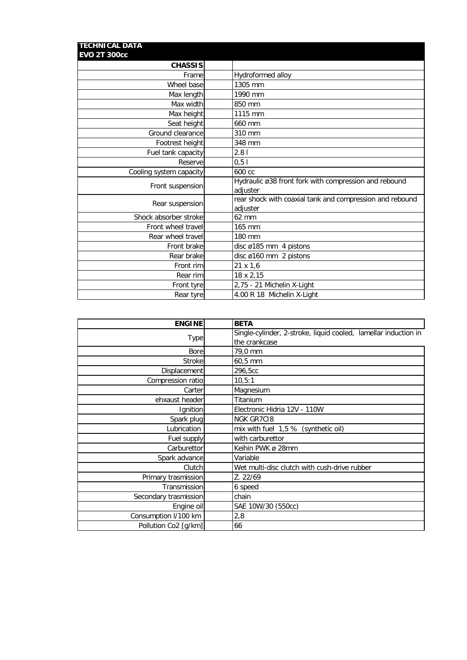| <b>TECHNICAL DATA</b><br><b>EVO 2T 300cc</b> |                                                                      |
|----------------------------------------------|----------------------------------------------------------------------|
| <b>CHASSIS</b>                               |                                                                      |
| Frame                                        | Hydroformed alloy                                                    |
| Wheel base                                   | 1305 mm                                                              |
| Max length                                   | 1990 mm                                                              |
| Max width                                    | 850 mm                                                               |
| Max height                                   | 1115 mm                                                              |
| Seat height                                  | 660 mm                                                               |
| Ground clearance                             | 310 mm                                                               |
| Footrest height                              | 348 mm                                                               |
| Fuel tank capacity                           | 2.81                                                                 |
| Reserve                                      | 0, 51                                                                |
| Cooling system capacity                      | 600 cc                                                               |
| Front suspension                             | Hydraulic ø38 front fork with compression and rebound<br>adjuster    |
| Rear suspension                              | rear shock with coaxial tank and compression and rebound<br>adjuster |
| Shock absorber stroke                        | 62 mm                                                                |
| Front wheel travel                           | 165 mm                                                               |
| Rear wheel travel                            | 180 mm                                                               |
| Front brake                                  | disc ø185 mm 4 pistons                                               |
| Rear brake                                   | disc ø160 mm 2 pistons                                               |
| Front rim                                    | 21 x 1,6                                                             |
| Rear rim                                     | 18 x 2,15                                                            |
| Front tyre                                   | 2,75 - 21 Michelin X-Light                                           |
| Rear tyre                                    | 4.00 R 18 Michelin X-Light                                           |

| <b>ENGINE</b>         | <b>BETA</b>                                                     |
|-----------------------|-----------------------------------------------------------------|
| Type                  | Single-cylinder, 2-stroke, liquid cooled, lamellar induction in |
|                       | the crankcase                                                   |
| <b>Bore</b>           | 79,0 mm                                                         |
| <b>Stroke</b>         | 60,5 mm                                                         |
| Displacement          | 296,5cc                                                         |
| Compression ratio     | 10, 5:1                                                         |
| Carter                | Magnesium                                                       |
| ehxaust header        | Titanium                                                        |
| Ignition              | Electronic Hidria 12V - 110W                                    |
| Spark plug            | <b>NGK GR7C18</b>                                               |
| Lubrication           | mix with fuel 1,5 % (synthetic oil)                             |
| Fuel supply           | with carburettor                                                |
| Carburettor           | Keihin PWK ø 28mm                                               |
| Spark advance         | Variable                                                        |
| Clutch                | Wet multi-disc clutch with cush-drive rubber                    |
| Primary trasmission   | Z. 22/69                                                        |
| Transmission          | 6 speed                                                         |
| Secondary trasmission | chain                                                           |
| Engine oil            | SAE 10W/30 (550cc)                                              |
| Consumption I/100 km  | 2,8                                                             |
| Pollution Co2 [g/km]  | 66                                                              |